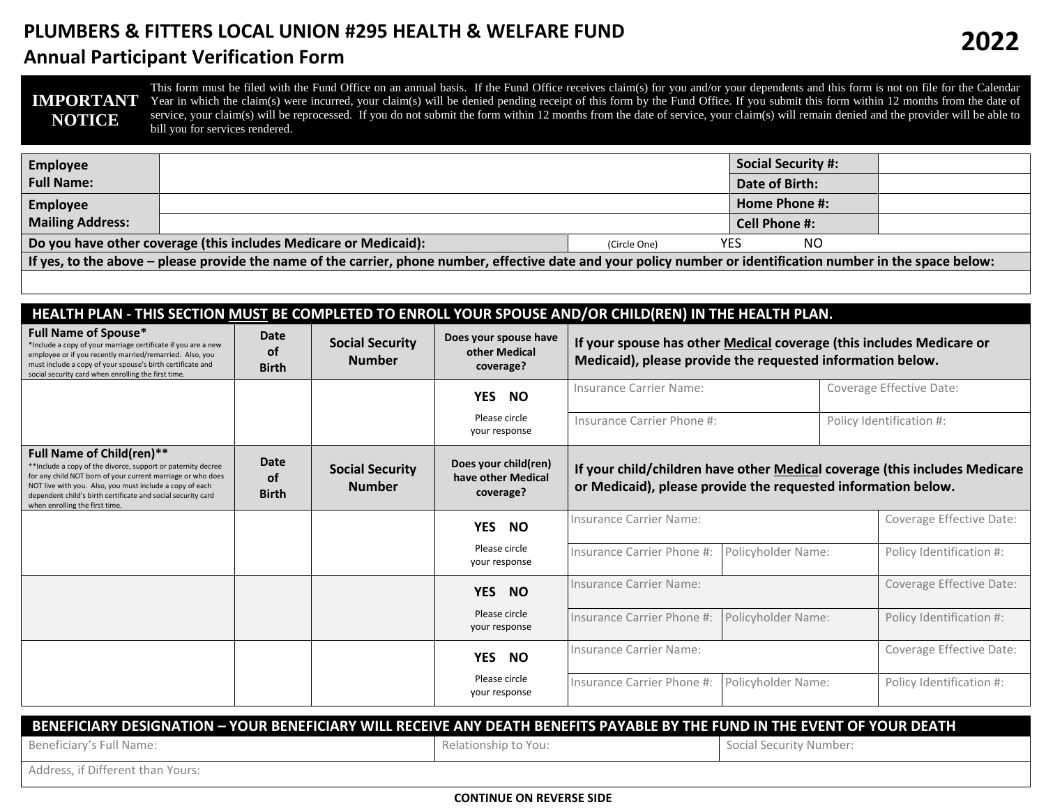## **PLUMBERS & FITTERS LOCAL UNION #295 HEALTH & WELFARE FUND**

## **Annual Participant Verification Form**

| <b>IMPORTANT</b><br><b>NOTICE</b> | This form must be filed with the Fund Office on an annual basis. If the Fund Office receives claim(s) for you and/or your dependents and this form is not on file for the Calendar<br>Year in which the claim(s) were incurred, your claim(s) will be denied pending receipt of this form by the Fund Office. If you submit this form within 12 months from the date of<br>service, your claim(s) will be reprocessed. If you do not submit the form within 12 months from the date of service, your claim(s) will remain denied and the provider will be able to<br>bill you for services rendered. |                      |                           |  |  |  |  |
|-----------------------------------|------------------------------------------------------------------------------------------------------------------------------------------------------------------------------------------------------------------------------------------------------------------------------------------------------------------------------------------------------------------------------------------------------------------------------------------------------------------------------------------------------------------------------------------------------------------------------------------------------|----------------------|---------------------------|--|--|--|--|
| <b>Employee</b>                   |                                                                                                                                                                                                                                                                                                                                                                                                                                                                                                                                                                                                      |                      | <b>Social Security #:</b> |  |  |  |  |
| <b>Full Name:</b>                 |                                                                                                                                                                                                                                                                                                                                                                                                                                                                                                                                                                                                      |                      | Date of Birth:            |  |  |  |  |
| Employee                          |                                                                                                                                                                                                                                                                                                                                                                                                                                                                                                                                                                                                      |                      | Home Phone #:             |  |  |  |  |
| <b>Mailing Address:</b>           |                                                                                                                                                                                                                                                                                                                                                                                                                                                                                                                                                                                                      | <b>Cell Phone #:</b> |                           |  |  |  |  |
|                                   | Do you have other coverage (this includes Medicare or Medicaid):                                                                                                                                                                                                                                                                                                                                                                                                                                                                                                                                     | YES<br>(Circle One)  | NO                        |  |  |  |  |

**If yes, to the above – please provide the name of the carrier, phone number, effective date and your policy number or identification number in the space below:**

# **HEALTH PLAN - THIS SECTION MUST BE COMPLETED TO ENROLL YOUR SPOUSE AND/OR CHILD(REN) IN THE HEALTH PLAN.**

| <b>Full Name of Spouse*</b><br>*Include a copy of your marriage certificate if you are a new<br>employee or if you recently married/remarried. Also, you<br>must include a copy of your spouse's birth certificate and<br>social security card when enrolling the first time.                                                  | Date<br><b>of</b><br><b>Birth</b>        | <b>Social Security</b><br><b>Number</b> | Does your spouse have<br>other Medical<br>coverage?     | If your spouse has other Medical coverage (this includes Medicare or<br>Medicaid), please provide the requested information below.          |                    |                          |                          |
|--------------------------------------------------------------------------------------------------------------------------------------------------------------------------------------------------------------------------------------------------------------------------------------------------------------------------------|------------------------------------------|-----------------------------------------|---------------------------------------------------------|---------------------------------------------------------------------------------------------------------------------------------------------|--------------------|--------------------------|--------------------------|
|                                                                                                                                                                                                                                                                                                                                |                                          |                                         | YES NO                                                  | Insurance Carrier Name:                                                                                                                     |                    | Coverage Effective Date: |                          |
|                                                                                                                                                                                                                                                                                                                                |                                          |                                         | Please circle<br>your response                          | Insurance Carrier Phone #:                                                                                                                  |                    | Policy Identification #: |                          |
| <b>Full Name of Child(ren)**</b><br>** Include a copy of the divorce, support or paternity decree<br>for any child NOT born of your current marriage or who does<br>NOT live with you. Also, you must include a copy of each<br>dependent child's birth certificate and social security card<br>when enrolling the first time. | <b>Date</b><br><b>of</b><br><b>Birth</b> | <b>Social Security</b><br><b>Number</b> | Does your child(ren)<br>have other Medical<br>coverage? | If your child/children have other Medical coverage (this includes Medicare<br>or Medicaid), please provide the requested information below. |                    |                          |                          |
|                                                                                                                                                                                                                                                                                                                                |                                          |                                         | YES NO                                                  | Insurance Carrier Name:                                                                                                                     |                    |                          | Coverage Effective Date: |
|                                                                                                                                                                                                                                                                                                                                |                                          |                                         | Please circle<br>your response                          | Insurance Carrier Phone #:                                                                                                                  | Policyholder Name: |                          | Policy Identification #: |
|                                                                                                                                                                                                                                                                                                                                |                                          |                                         | YES NO                                                  | Insurance Carrier Name:                                                                                                                     |                    |                          | Coverage Effective Date: |
|                                                                                                                                                                                                                                                                                                                                |                                          |                                         | Please circle<br>your response                          | Insurance Carrier Phone #:                                                                                                                  | Policyholder Name: |                          | Policy Identification #: |
|                                                                                                                                                                                                                                                                                                                                |                                          |                                         | YES NO                                                  | Insurance Carrier Name:                                                                                                                     |                    |                          | Coverage Effective Date: |
|                                                                                                                                                                                                                                                                                                                                |                                          |                                         | Please circle<br>your response                          | Insurance Carrier Phone #:                                                                                                                  | Policyholder Name: |                          | Policy Identification #: |
| DENEFICIADY DECICNATION – VOLID DENEFICIADY WILL DECENIE ANY DEATH DENEFITC DAVADLE DY THE FHAID IN THE FUENT OF VOLID DEATH                                                                                                                                                                                                   |                                          |                                         |                                                         |                                                                                                                                             |                    |                          |                          |

#### **BENEFICIARY DESIGNATION – YOUR BENEFICIARY WILL RECEIVE ANY DEATH BENEFITS PAYABLE BY THE FUND IN THE EVENT OF YOUR DEATH**

Beneficiary's Full Name: Social Security Number: Social Security Number: Social Security Number:

Address, if Different than Yours: